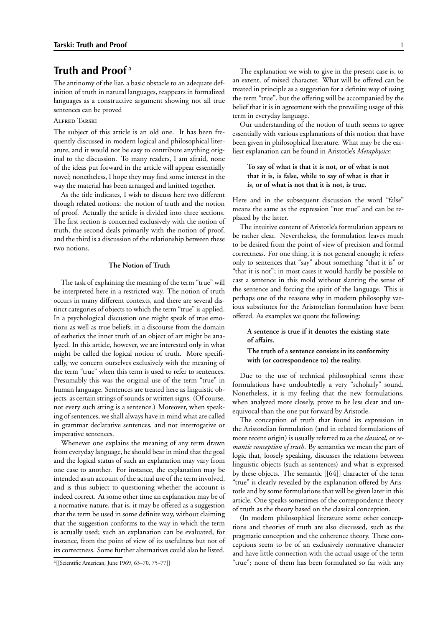# **Truth and Proof** <sup>a</sup>

The antinomy of the liar, a basic obstacle to an adequate definition of truth in natural languages, reappears in formalized languages as a constructive argument showing not all true sentences can be proved

#### Alfred Tarski

The subject of this article is an old one. It has been frequently discussed in modern logical and philosophical literature, and it would not be easy to contribute anything original to the discussion. To many readers, I am afraid, none of the ideas put forward in the article will appear essentially novel; nonetheless, I hope they may find some interest in the way the material has been arranged and knitted together.

As the title indicates, I wish to discuss here two different though related notions: the notion of truth and the notion of proof. Actually the article is divided into three sections. The first section is concerned exclusively with the notion of truth, the second deals primarily with the notion of proof, and the third is a discussion of the relationship between these two notions.

### **The Notion of Truth**

The task of explaining the meaning of the term "true" will be interpreted here in a restricted way. The notion of truth occurs in many different contexts, and there are several distinct categories of objects to which the term "true" is applied. In a psychological discussion one might speak of true emotions as well as true beliefs; in a discourse from the domain of esthetics the inner truth of an object of art might be analyzed. In this article, however, we are interested only in what might be called the logical notion of truth. More specifically, we concern ourselves exclusively with the meaning of the term "true" when this term is used to refer to sentences. Presumably this was the original use of the term "true" in human language. Sentences are treated here as linguistic objects, as certain strings of sounds or written signs. (Of course, not every such string is a sentence.) Moreover, when speaking of sentences, we shall always have in mind what are called in grammar declarative sentences, and not interrogative or imperative sentences.

Whenever one explains the meaning of any term drawn from everyday language, heshould bear in mind that the goal and the logical status of such an explanation may vary from one case to another. For instance, the explanation may be intended as an account of the actual use of the term involved, and is thus subject to questioning whether the account is indeed correct. At some other time an explanation may be of a normative nature, that is, it may be offered as a suggestion that the term be used in some definite way, without claiming that the suggestion conforms to the way in which the term is actually used; such an explanation can be evaluated, for instance, from the point of view of its usefulness but not of its correctness. Some further alternatives could also be listed.

The explanation we wish to give in the present case is, to an extent, of mixed character. What will be offered can be treated in principle as a suggestion for a definite way of using the term "true", but the offering will be accompanied by the belief that it is in agreement with the prevailing usage of this term in everyday language.

Our understanding of the notion of truth seems to agree essentially with various explanations of this notion that have been given in philosophical literature. What may be the earliest explanation can be found in Aristotle's *Metaphysics:*

## **To say of what is that it is not, or of what is not that it is, is false, while to say of what is that it is, or of what is not that it is not, is true.**

Here and in the subsequent discussion the word "false" means the same as the expression "not true" and can be replaced by the latter.

The intuitive content of Aristotle's formulation appears to be rather clear. Nevertheless, the formulation leaves much to be desired from the point of view of precision and formal correctness. For one thing, it is not general enough; it refers only to sentences that "say" about something "that it is" or "that it is not"; in most cases it would hardly be possible to cast a sentence in this mold without slanting the sense of the sentence and forcing the spirit of the language. This is perhaps one of the reasons why in modern philosophy various substitutes for the Aristotelian formulation have been offered. As examples we quote the following:

# **A sentence is true if it denotes the existing state of affairs.**

# **The truth of a sentence consists in its conformity with (or correspondence to) the reality.**

Due to the use of technical philosophical terms these formulations have undoubtedly a very "scholarly" sound. Nonetheless, it is my feeling that the new formulations, when analyzed more closely, prove to be less clear and unequivocal than the one put forward by Aristotle.

The conception of truth that found its expression in the Aristotelian formulation (and in related formulations of more recent origin) is usually referred to as the *classical*, or *semantic conception of truth*. By semantics we mean the part of logic that, loosely speaking, discusses the relations between linguistic objects (such as sentences) and what is expressed by these objects. The semantic [[64]] character of the term "true" is clearly revealed by the explanation offered by Aristotle and by some formulations that will be given later in this article. One speaks sometimes of the correspondence theory of truth as the theory based on the classical conception.

(In modern philosophical literature some other conceptions and theories of truth are also discussed, such as the pragmatic conception and the coherence theory. These conceptions seem to be of an exclusively normative character and have little connection with the actual usage of the term "true"; none of them has been formulated so far with any

a [[Scientific American, June 1969, 63–70, 75–77]]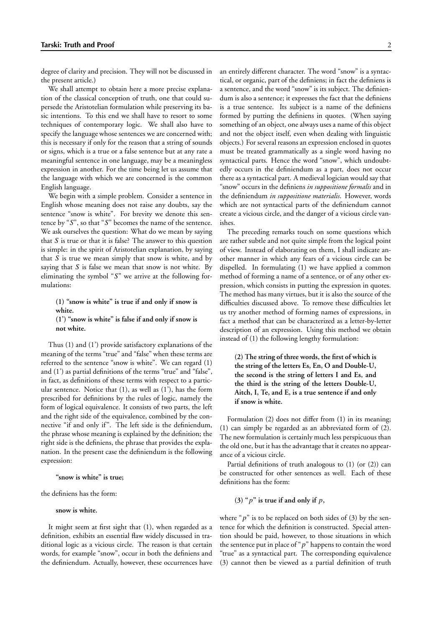degree of clarity and precision. They will not be discussed in the present article.)

We shall attempt to obtain here a more precise explanation of the classical conception of truth, one that could supersede the Aristotelian formulation while preserving its basic intentions. To this end we shall have to resort to some techniques of contemporary logic. We shall also have to specify the language whose sentences we are concerned with; this is necessary if only for the reason that a string of sounds or signs, which is a true or a false sentence but at any rate a meaningful sentence in one language, may be a meaningless expression in another. For the time being let us assume that the language with which we are concerned is the common English language.

We begin with a simple problem. Consider a sentence in English whose meaning does not raise any doubts, say the sentence "snow is white". For brevity we denote this sentence by "S", so that "S" becomes the name of the sentence. We ask ourselves the question: What do we mean by saying that  $S$  is true or that it is false? The answer to this question is simple: in the spirit of Aristotelian explanation, by saying that  $S$  is true we mean simply that snow is white, and by saying that  $S$  is false we mean that snow is not white. By eliminating the symbol "S" we arrive at the following formulations:

**(1) "snow is white" is true if and only if snow is white.**

**(1') "snow is white" is false if and only if snow is not white.**

Thus (1) and (1') provide satisfactory explanations of the meaning of the terms "true" and "false" when these terms are referred to the sentence "snow is white". We can regard (1) and (1') as partial definitions of the terms "true" and "false", in fact, as definitions of these terms with respect to a particular sentence. Notice that (1), as well as (1'), has the form prescribed for definitions by the rules of logic, namely the form of logical equivalence. It consists of two parts, the left and the right side of the equivalence, combined by the connective "if and only if". The left side is the definiendum, the phrase whose meaning is explained by the definition; the right side is the definiens, the phrase that provides the explanation. In the present case the definiendum is the following expression:

### **"snow is white" is true;**

the definiens has the form:

#### **snow is white.**

It might seem at first sight that (1), when regarded as a definition, exhibits an essential flaw widely discussed in traditional logic as a vicious circle. The reason is that certain words, for example "snow", occur in both the definiens and the definiendum. Actually, however, these occurrences have

an entirely different character. The word "snow" is a syntactical, or organic, part of the definiens; in fact the definiens is a sentence, and the word "snow" is its subject. The definiendum is also a sentence; it expresses the fact that the definiens is a true sentence. Its subject is a name of the definiens formed by putting the definiens in quotes. (When saying something of an object, one always uses a name of this object and not the object itself, even when dealing with linguistic objects.) For several reasons an expression enclosed in quotes must be treated grammatically as a single word having no syntactical parts. Hence the word "snow", which undoubtedly occurs in the definiendum as a part, does not occur there as a syntactical part. A medieval logician would say that "snow" occurs in the definiens *in suppositione formalis* and in the definiendum *in suppositione materialis*. However, words which are not syntactical parts of the definiendum cannot create a vicious circle, and the danger of a vicious circle vanishes.

The preceding remarks touch on some questions which are rather subtle and not quite simple from the logical point of view. Instead of elaborating on them, I shall indicate another manner in which any fears of a vicious circle can be dispelled. In formulating (1) we have applied a common method of forming a name of a sentence, or of any other expression, which consists in putting the expression in quotes. The method has many virtues, but it is also the source of the difficulties discussed above. To remove these difficulties let us try another method of forming names of expressions, in fact a method that can be characterized as a letter-by-letter description of an expression. Using this method we obtain instead of (1) the following lengthy formulation:

**(2) The string of three words, the first of which is the string of the letters Es, En, O and Double-U, the second is the string of letters I and Es, and the third is the string of the letters Double-U, Aitch, I, Te, and E, is a true sentence if and only if snow is white.**

Formulation (2) does not differ from (1) in its meaning; (1) can simply be regarded as an abbreviated form of (2). The new formulation is certainly much less perspicuous than the old one, but it has the advantage that it creates no appearance of a vicious circle.

Partial definitions of truth analogous to (1) (or (2)) can be constructed for other sentences as well. Each of these definitions has the form:

(3)  $\degree$  *p*" is true if and only if p,

where " $p$ " is to be replaced on both sides of (3) by the sentence for which the definition is constructed. Special attention should be paid, however, to those situations in which the sentence put in place of " $p$ " happens to contain the word "true" as a syntactical part. The corresponding equivalence (3) cannot then be viewed as a partial definition of truth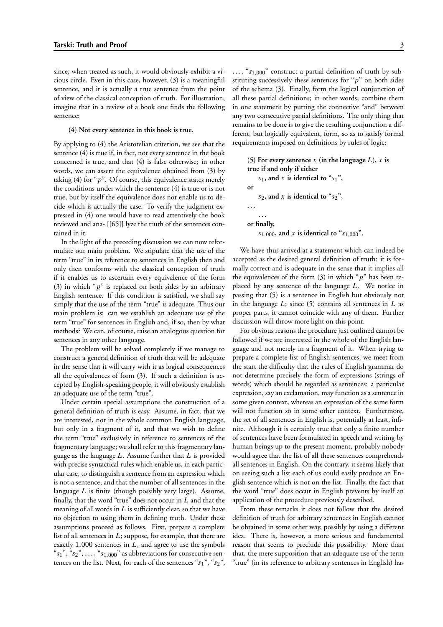since, when treated as such, it would obviously exhibit a vicious circle. Even in this case, however, (3) is a meaningful sentence, and it is actually a true sentence from the point of view of the classical conception of truth. For illustration, imagine that in a review of a book one finds the following sentence:

#### **(4) Not every sentence in this book is true.**

By applying to (4) the Aristotelian criterion, we see that the sentence (4) is true if, in fact, not every sentence in the book concerned is true, and that (4) is false otherwise; in other words, we can assert the equivalence obtained from (3) by taking  $(4)$  for "p". Of course, this equivalence states merely the conditions under which the sentence (4) is true or is not true, but by itself the equivalence does not enable us to decide which is actually the case. To verify the judgment expressed in (4) one would have to read attentively the book reviewed and ana- [[65]] lyze the truth of the sentences contained in it.

In the light of the preceding discussion we can now reformulate our main problem. We stipulate that the use of the term "true" in its reference to sentences in English then and only then conforms with the classical conception of truth if it enables us to ascertain every equivalence of the form (3) in which " $p$ " is replaced on both sides by an arbitrary English sentence. If this condition is satisfied, we shall say simply that the use of the term "true" is adequate. Thus our main problem is: can we establish an adequate use of the term "true" for sentences in English and, if so, then by what methods? We can, of course, raise an analogous question for sentences in any other language.

The problem will be solved completely if we manage to construct a general definition of truth that will be adequate in the sense that it will carry with it as logical consequences all the equivalences of form (3). If such a definition is accepted by English-speaking people, it will obviously establish an adequate use of the term "true".

Under certain special assumptions the construction of a general definition of truth is easy. Assume, in fact, that we are interested, not in the whole common English language, but only in a fragment of it, and that we wish to define the term "true" exclusively in reference to sentences of the fragmentary language; we shall refer to this fragmentary language as the language  $L$ . Assume further that  $L$  is provided with precise syntactical rules which enable us, in each particular case, to distinguish a sentence from an expression which is not a sentence, and that the number of all sentences in the language  $L$  is finite (though possibly very large). Assume, finally, that the word "true" does not occur in  $L$  and that the meaning of all words in  $L$  is sufficiently clear, so that we have no objection to using them in defining truth. Under these assumptions proceed as follows. First, prepare a complete list of all sentences in  $L$ ; suppose, for example, that there are exactly  $1,000$  sentences in  $L$ , and agree to use the symbols " $s_1$ ", " $s_2$ ", ..., " $s_{1,000}$ " as abbreviations for consecutive sentences on the list. Next, for each of the sentences " $s_1$ ", " $s_2$ ",  $\ldots$ , " $s_{1,000}$ " construct a partial definition of truth by substituting successively these sentences for " $p$ " on both sides of the schema (3). Finally, form the logical conjunction of all these partial definitions; in other words, combine them in one statement by putting the connective "and" between any two consecutive partial definitions. The only thing that remains to be done is to give the resulting conjunction a different, but logically equivalent, form, so as to satisfy formal requirements imposed on definitions by rules of logic:

**(5) For every sentence** x **(in the language** L**),** x **is true if and only if either**  $s_1$ , and x is identical to " $s_1$ ", **or**  $s_2$ , and x is identical to " $s_2$ ", **. . . . . . or finally,**  $s_{1,000}$ , and x is identical to " $s_{1,000}$ ".

We have thus arrived at a statement which can indeed be accepted as the desired general definition of truth: it is formally correct and is adequate in the sense that it implies all the equivalences of the form  $(3)$  in which "p" has been replaced by any sentence of the language L. We notice in passing that (5) is a sentence in English but obviously not in the language  $L$ ; since (5) contains all sentences in  $L$  as proper parts, it cannot coincide with any of them. Further discussion will throw more light on this point.

For obvious reasons the procedure just outlined cannot be followed if we are interested in the whole of the English language and not merely in a fragment of it. When trying to prepare a complete list of English sentences, we meet from the start the difficulty that the rules of English grammar do not determine precisely the form of expressions (strings of words) which should be regarded as sentences: a particular expression, say an exclamation, may function as a sentence in some given context, whereas an expression of the same form will not function so in some other context. Furthermore, the set of all sentences in English is, potentially at least, infinite. Although it is certainly true that only a finite number of sentences have been formulated in speech and writing by human beings up to the present moment, probably nobody would agree that the list of all these sentences comprehends all sentences in English. On the contrary, it seems likely that on seeing such a list each of us could easily produce an English sentence which is not on the list. Finally, the fact that the word "true" does occur in English prevents by itself an application of the procedure previously described.

From these remarks it does not follow that the desired definition of truth for arbitrary sentences in English cannot be obtained in some other way, possibly by using a different idea. There is, however, a more serious and fundamental reason that seems to preclude this possibility. More than that, the mere supposition that an adequate use of the term "true" (in its reference to arbitrary sentences in English) has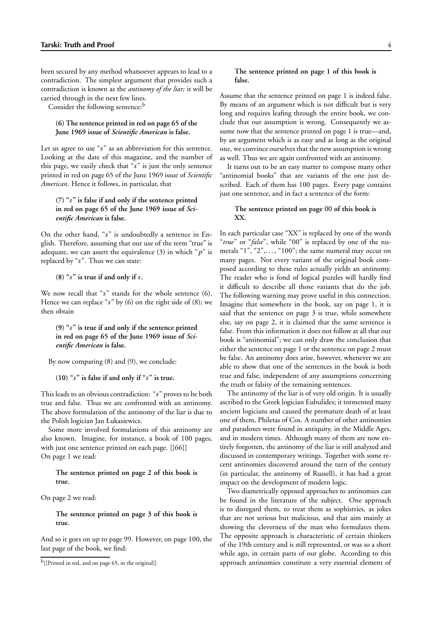been secured by any method whatsoever appears to lead to a contradiction. The simplest argument that provides such a contradiction is known as the *antinomy of the liar;* it will be carried through in the next few lines.

Consider the following sentence:<sup>b</sup>

### **(6) The sentence printed in red on page 65 of the June 1969 issue of** *Scientific American* **is false.**

Let us agree to use "s" as an abbreviation for this sentence. Looking at the date of this magazine, and the number of this page, we easily check that "s" is just the only sentence printed in red on page 65 of the June 1969 issue of *Scientific American*. Hence it follows, in particular, that

## **(7) "**s**" is false if and only if the sentence printed in red on page 65 of the June 1969 issue of** *Scientific American* **is false.**

On the other hand, "s" is undoubtedly a sentence in English. Therefore, assuming that our use of the term "true" is adequate, we can assert the equivalence (3) in which " $p$ " is replaced by "s". Thus we can state:

(8)  $\degree$ s" is true if and only if s.

We now recall that "s" stands for the whole sentence (6). Hence we can replace "s" by  $(6)$  on the right side of  $(8)$ ; we then obtain

**(9) "**s**" is true if and only if the sentence printed in red on page 65 of the June 1969 issue of** *Scientific American* **is false.**

By now comparing (8) and (9), we conclude:

**(10) "**s**" is false if and only if "**s**" is true.**

This leads to an obvious contradiction: "s" proves to be both true and false. Thus we are confronted with an antinomy. The above formulation of the antinomy of the liar is due to the Polish logician Jan Łukasiewicz.

Some more involved formulations of this antinomy are also known. Imagine, for instance, a book of 100 pages, with just one sentence printed on each page. [[66]] On page 1 we read:

**The sentence printed on page 2 of this book is true.**

On page 2 we read:

**The sentence printed on page 3 of this book is true.**

And so it goes on up to page 99. However, on page 100, the last page of the book, we find:

### **The sentence printed on page 1 of this book is false.**

Assume that the sentence printed on page 1 is indeed false. By means of an argument which is not difficult but is very long and requires leafing through the entire book, we conclude that our assumption is wrong. Consequently we assume now that the sentence printed on page 1 is true—and, by an argument which is as easy and as long as the original one, weconvince ourselves that the new assumption is wrong as well. Thus we are again confronted with an antinomy.

It turns out to be an easy matter to compose many other "antinomial books" that are variants of the one just described. Each of them has 100 pages. Every page contains just one sentence, and in fact a sentence of the form:

## **The sentence printed on page** 00 **of this book is XX.**

In each particular case "XX" is replaced by one of the words "*true*" or "*false*", while "00" is replaced by one of the numerals "1", "2",. . . , "100"; the same numeral may occur on many pages. Not every variant of the original book composed according to these rules actually yields an antinomy. The reader who is fond of logical puzzles will hardly find it difficult to describe all those variants that do the job. The following warning may prove useful in this connection. Imagine that somewhere in the book, say on page 1, it is said that the sentence on page 3 is true, while somewhere else, say on page 2, it is claimed that the same sentence is false. From this information it does not follow at all that our book is "antinomial"; we can only draw the conclusion that either the sentence on page 1 or the sentence on page 2 must be false. An antinomy does arise, however, whenever we are able to show that one of the sentences in the book is both true and false, independent of any assumptions concerning the truth or falsity of the remaining sentences.

The antinomy of the liar is of very old origin. It is usually ascribed to the Greek logician Eubulides; it tormented many ancient logicians and caused the premature death of at least one of them, Philetas of Cos. A number of other antinomies and paradoxes were found in antiquity, in the Middle Ages, and in modern times. Although many of them are now entirely forgotten, the antinomy of the liar is still analyzed and discussed in contemporary writings. Together with some recent antinomies discovered around the turn of the century (in particular, the antinomy of Russell), it has had a great impact on the development of modern logic.

Two diametrically opposed approaches to antinomies can be found in the literature of the subject. One approach is to disregard them, to treat them as sophistries, as jokes that are not serious but malicious, and that aim mainly at showing the cleverness of the man who formulates them. The opposite approach is characteristic of certain thinkers of the 19th century and is still represented, or was so a short while ago, in certain parts of our globe. According to this approach antinomies constitute a very essential element of

<sup>&</sup>lt;sup>b</sup>[[Printed in red, and on page 65, in the original]]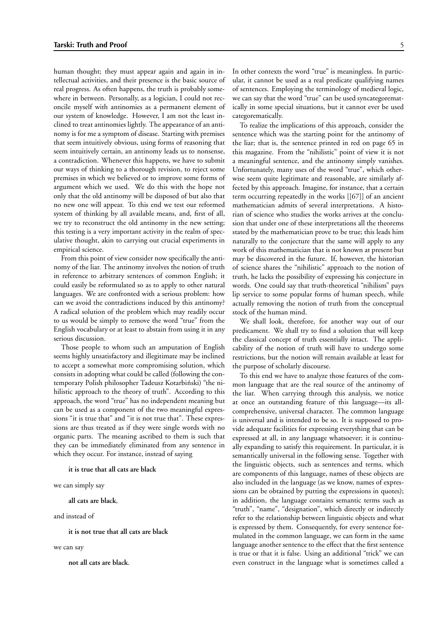human thought; they must appear again and again in intellectual activities, and their presence is the basic source of real progress. As often happens, the truth is probably somewhere in between. Personally, as a logician, I could not reconcile myself with antinomies as a permanent element of our system of knowledge. However, I am not the least inclined to treat antinomies lightly. The appearance of an antinomy is for me a symptom of disease. Starting with premises that seem intuitively obvious, using forms of reasoning that seem intuitively certain, an antinomy leads us to nonsense, a contradiction. Whenever this happens, we have to submit our ways of thinking to a thorough revision, to reject some premises in which we believed or to improve some forms of argument which we used. We do this with the hope not only that the old antinomy will be disposed of but also that no new one will appear. To this end we test our reformed system of thinking by all available means, and, first of all, we try to reconstruct the old antinomy in the new setting; this testing is a very important activity in the realm of speculative thought, akin to carrying out crucial experiments in empirical science.

From this point of view consider now specifically the antinomy of the liar. The antinomy involves the notion of truth in reference to arbitrary sentences of common English; it could easily be reformulated so as to apply to other natural languages. We are confronted with a serious problem: how can we avoid the contradictions induced by this antinomy? A radical solution of the problem which may readily occur to us would be simply to remove the word "true" from the English vocabulary or at least to abstain from using it in any serious discussion.

Those people to whom such an amputation of English seems highly unsatisfactory and illegitimate may be inclined to accept a somewhat more compromising solution, which consists in adopting what could be called (following the contemporary Polish philosopher Tadeusz Kotarbiński) "the nihilistic approach to the theory of truth". According to this approach, the word "true" has no independent meaning but can be used as a component of the two meaningful expressions "it is true that" and "it is not true that". These expressions are thus treated as if they were single words with no organic parts. The meaning ascribed to them is such that they can be immediately eliminated from any sentence in which they occur. For instance, instead of saying

**it is true that all cats are black**

we can simply say

**all cats are black**,

and instead of

**it is not true that all cats are black**

we can say

**not all cats are black**.

In other contexts the word "true" is meaningless. In particular, it cannot be used as a real predicate qualifying names of sentences. Employing the terminology of medieval logic, we can say that the word "true" can be used syncategorematically in some special situations, but it cannot ever be used categorematically.

To realize the implications of this approach, consider the sentence which was the starting point for the antinomy of the liar; that is, the sentence printed in red on page 65 in this magazine. From the "nihilistic" point of view it is not a meaningful sentence, and the antinomy simply vanishes. Unfortunately, many uses of the word "true", which otherwise seem quite legitimate and reasonable, are similarly affected by this approach. Imagine, for instance, that a certain term occurring repeatedly in the works [[67]] of an ancient mathematician admits of several interpretations. A historian of science who studies the works arrives at the conclusion that under one of these interpretations all the theorems stated by the mathematician prove to be true; this leads him naturally to the conjecture that the same will apply to any work of this mathematician that is not known at present but may be discovered in the future. If, however, the historian of science shares the "nihilistic" approach to the notion of truth, he lacks the possibility of expressing his conjecture in words. One could say that truth-theoretical "nihilism" pays lip service to some popular forms of human speech, while actually removing the notion of truth from the conceptual stock of the human mind.

We shall look, therefore, for another way out of our predicament. We shall try to find a solution that will keep the classical concept of truth essentially intact. The applicability of the notion of truth will have to undergo some restrictions, but the notion will remain available at least for the purpose of scholarly discourse.

To this end we have to analyze those features of the common language that are the real source of the antinomy of the liar. When carrying through this analysis, we notice at once an outstanding feature of this language—its allcomprehensive, universal character. The common language is universal and is intended to be so. It is supposed to provide adequate facilities for expressing everything that can be expressed at all, in any language whatsoever; it is continually expanding to satisfy this requirement. In particular, it is semantically universal in the following sense. Together with the linguistic objects, such as sentences and terms, which are components of this language, names of these objects are also included in the language (as we know, names of expressions can be obtained by putting the expressions in quotes); in addition, the language contains semantic terms such as "truth", "name", "designation", which directly or indirectly refer to the relationship between linguistic objects and what is expressed by them. Consequently, for every sentence formulated in the common language, we can form in the same language another sentence to the effect that the first sentence is true or that it is false. Using an additional "trick" we can even construct in the language what is sometimes called a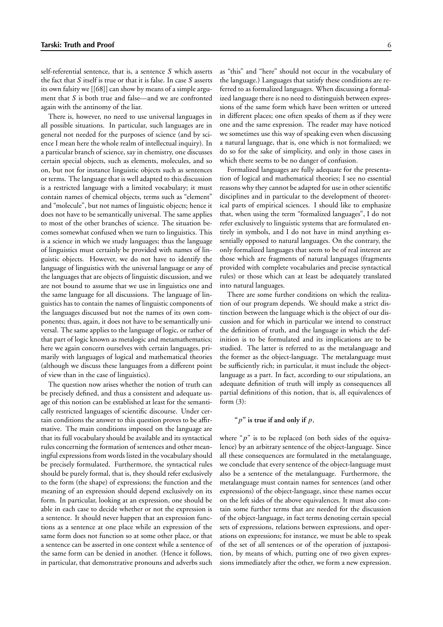self-referential sentence, that is, a sentence S which asserts the fact that  $S$  itself is true or that it is false. In case  $S$  asserts its own falsity we  $[[68]]$  can show by means of a simple argument that S is both true and false—and we are confronted again with the antinomy of the liar.

There is, however, no need to use universal languages in all possible situations. In particular, such languages are in general not needed for the purposes of science (and by science I mean here the whole realm of intellectual inquiry). In a particular branch of science, say in chemistry, one discusses certain special objects, such as elements, molecules, and so on, but not for instance linguistic objects such as sentences or terms. The language that is well adapted to this discussion is a restricted language with a limited vocabulary; it must contain names of chemical objects, terms such as "element" and "molecule", but not names of linguistic objects; hence it does not have to be semantically universal. The same applies to most of the other branches of science. The situation becomes somewhat confused when we turn to linguistics. This is a science in which we study languages; thus the language of linguistics must certainly be provided with names of linguistic objects. However, we do not have to identify the language of linguistics with the universal language or any of the languages that are objects of linguistic discussion, and we are not bound to assume that we use in linguistics one and the same language for all discussions. The language of linguistics has to contain the names of linguistic components of the languages discussed but not the names of its own components; thus, again, it does not have to be semantically universal. The same applies to the language of logic, or rather of that part of logic known as metalogic and metamathematics; here we again concern ourselves with certain languages, primarily with languages of logical and mathematical theories (although we discuss these languages from a different point of view than in the case of linguistics).

The question now arises whether the notion of truth can be precisely defined, and thus a consistent and adequate usage of this notion can be established at least for the semantically restricted languages of scientific discourse. Under certain conditions the answer to this question proves to be affirmative. The main conditions imposed on the language are that its full vocabulary should be available and its syntactical rules concerning the formation of sentences and other meaningful expressions from words listed in the vocabulary should be precisely formulated. Furthermore, the syntactical rules should be purely formal, that is, they should refer exclusively to the form (the shape) of expressions; the function and the meaning of an expression should depend exclusively on its form. In particular, looking at an expression, one should be able in each case to decide whether or not the expression is a sentence. It should never happen that an expression functions as a sentence at one place while an expression of the same form does not function so at some other place, or that a sentence can be asserted in one context while a sentence of the same form can be denied in another. (Hence it follows, in particular, that demonstrative pronouns and adverbs such

as "this" and "here" should not occur in the vocabulary of the language.) Languages that satisfy these conditions are referred to as formalized languages. When discussing a formalized language there is no need to distinguish between expressions of the same form which have been written or uttered in different places; one often speaks of them as if they were one and the same expression. The reader may have noticed we sometimes use this way of speaking even when discussing a natural language, that is, one which is not formalized; we do so for the sake of simplicity, and only in those cases in which there seems to be no danger of confusion.

Formalized languages are fully adequate for the presentation of logical and mathematical theories; I see no essential reasons why they cannot be adapted for use in other scientific disciplines and in particular to the development of theoretical parts of empirical sciences. I should like to emphasize that, when using the term "formalized languages", I do not refer exclusively to linguistic systems that are formulated entirely in symbols, and I do not have in mind anything essentially opposed to natural languages. On the contrary, the only formalized languages that seem to be of real interest are those which are fragments of natural languages (fragments provided with complete vocabularies and precise syntactical rules) or those which can at least be adequately translated into natural languages.

There are some further conditions on which the realization of our program depends. We should make a strict distinction between the language which is the object of our discussion and for which in particular we intend to construct the definition of truth, and the language in which the definition is to be formulated and its implications are to be studied. The latter is referred to as the metalanguage and the former as the object-language. The metalanguage must be sufficiently rich; in particular, it must include the objectlanguage as a part. In fact, according to our stipulations, an adequate definition of truth will imply as consequences all partial definitions of this notion, that is, all equivalences of form (3):

#### $P$ <sup>"</sup> is true if and only if p,

where " $p$ " is to be replaced (on both sides of the equivalence) by an arbitrary sentence of the object-language. Since all these consequences are formulated in the metalanguage, we conclude that every sentence of the object-language must also be a sentence of the metalanguage. Furthermore, the metalanguage must contain names for sentences (and other expressions) of the object-language, since these names occur on the left sides of the above equivalences. It must also contain some further terms that are needed for the discussion of the object-language, in fact terms denoting certain special sets of expressions, relations between expressions, and operations on expressions; for instance, we must be able to speak of the set of all sentences or of the operation of juxtaposition, by means of which, putting one of two given expressions immediately after the other, we form a new expression.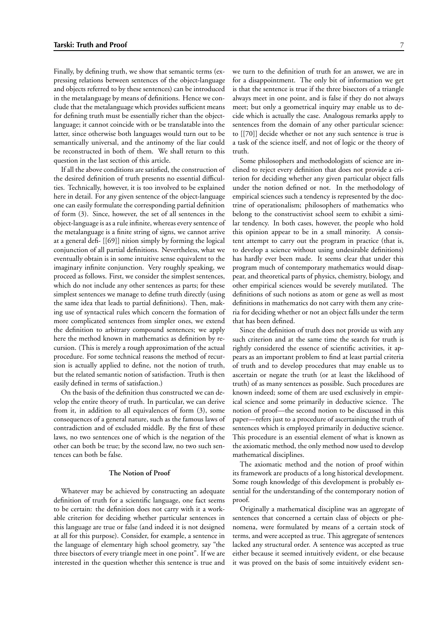Finally, by defining truth, we show that semantic terms (expressing relations between sentences of the object-language and objects referred to by these sentences) can be introduced in the metalanguage by means of definitions. Hence we conclude that the metalanguage which provides sufficient means for defining truth must be essentially richer than the objectlanguage; it cannot coincide with or be translatable into the latter, since otherwise both languages would turn out to be semantically universal, and the antinomy of the liar could be reconstructed in both of them. We shall return to this question in the last section of this article.

If all the aboveconditions aresatisfied, the construction of the desired definition of truth presents no essential difficulties. Technically, however, it is too involved to be explained here in detail. For any given sentence of the object-language one can easily formulate the corresponding partial definition of form (3). Since, however, the set of all sentences in the object-language is as a rule infinite, whereas every sentence of the metalanguage is a finite string of signs, we cannot arrive at a general defi- [[69]] nition simply by forming the logical conjunction of all partial definitions. Nevertheless, what we eventually obtain is in some intuitive sense equivalent to the imaginary infinite conjunction. Very roughly speaking, we proceed as follows. First, we consider the simplest sentences, which do not include any other sentences as parts; for these simplest sentences we manage to define truth directly (using the same idea that leads to partial definitions). Then, making use of syntactical rules which concern the formation of more complicated sentences from simpler ones, we extend the definition to arbitrary compound sentences; we apply here the method known in mathematics as definition by recursion. (This is merely a rough approximation of the actual procedure. For some technical reasons the method of recursion is actually applied to define, not the notion of truth, but the related semantic notion of satisfaction. Truth is then easily defined in terms of satisfaction.)

On the basis of the definition thus constructed we can develop the entire theory of truth. In particular, we can derive from it, in addition to all equivalences of form (3), some consequences of a general nature, such as the famous laws of contradiction and of excluded middle. By the first of these laws, no two sentences one of which is the negation of the other can both be true; by the second law, no two such sentences can both be false.

## **The Notion of Proof**

Whatever may be achieved by constructing an adequate definition of truth for a scientific language, one fact seems to be certain: the definition does not carry with it a workable criterion for deciding whether particular sentences in this language are true or false (and indeed it is not designed at all for this purpose). Consider, for example, a sentence in the language of elementary high school geometry, say "the three bisectors of every triangle meet in one point". If we are interested in the question whether this sentence is true and we turn to the definition of truth for an answer, we are in for a disappointment. The only bit of information we get is that the sentence is true if the three bisectors of a triangle always meet in one point, and is false if they do not always meet; but only a geometrical inquiry may enable us to decide which is actually the case. Analogous remarks apply to sentences from the domain of any other particular science: to [[70]] decide whether or not any such sentence is true is a task of the science itself, and not of logic or the theory of truth.

Some philosophers and methodologists of science are inclined to reject every definition that does not provide a criterion for deciding whether any given particular object falls under the notion defined or not. In the methodology of empirical sciences such a tendency is represented by the doctrine of operationalism; philosophers of mathematics who belong to the constructivist school seem to exhibit a similar tendency. In both cases, however, the people who hold this opinion appear to be in a small minority. A consistent attempt to carry out the program in practice (that is, to develop a science without using undesirable definitions) has hardly ever been made. It seems clear that under this program much of contemporary mathematics would disappear, and theoretical parts of physics, chemistry, biology, and other empirical sciences would be severely mutilated. The definitions of such notions as atom or gene as well as most definitions in mathematics do not carry with them any criteria for deciding whether or not an object falls under the term that has been defined.

Since the definition of truth does not provide us with any such criterion and at the same time the search for truth is rightly considered the essence of scientific activities, it appears as an important problem to find at least partial criteria of truth and to develop procedures that may enable us to ascertain or negate the truth (or at least the likelihood of truth) of as many sentences as possible. Such procedures are known indeed; some of them are used exclusively in empirical science and some primarily in deductive science. The notion of proof—the second notion to be discussed in this paper—refers just to a procedure of ascertaining the truth of sentences which is employed primarily in deductive science. This procedure is an essential element of what is known as the axiomatic method, the only method now used to develop mathematical disciplines.

The axiomatic method and the notion of proof within its framework are products of a long historical development. Some rough knowledge of this development is probably essential for the understanding of the contemporary notion of proof.

Originally a mathematical discipline was an aggregate of sentences that concerned a certain class of objects or phenomena, were formulated by means of a certain stock of terms, and were accepted as true. This aggregate of sentences lacked any structural order. A sentence was accepted as true either because it seemed intuitively evident, or else because it was proved on the basis of some intuitively evident sen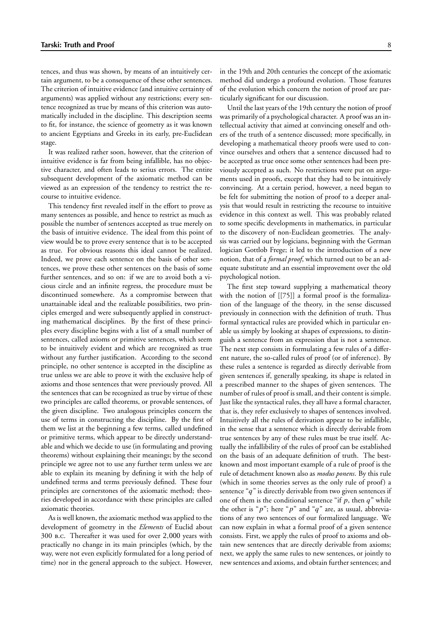tences, and thus was shown, by means of an intuitively certain argument, to be a consequence of these other sentences. The criterion of intuitive evidence (and intuitive certainty of arguments) was applied without any restrictions; every sentence recognized as true by means of this criterion was automatically included in the discipline. This description seems to fit, for instance, the science of geometry as it was known to ancient Egyptians and Greeks in its early, pre-Euclidean stage.

It was realized rather soon, however, that the criterion of intuitive evidence is far from being infallible, has no objective character, and often leads to serius errors. The entire subsequent development of the axiomatic method can be viewed as an expression of the tendency to restrict the recourse to intuitive evidence.

This tendency first revealed itself in the effort to prove as many sentences as possible, and hence to restrict as much as possible the number of sentences accepted as true merely on the basis of intuitive evidence. The ideal from this point of view would be to prove every sentence that is to be accepted as true. For obvious reasons this ideal cannot be realized. Indeed, we prove each sentence on the basis of other sentences, we prove these other sentences on the basis of some further sentences, and so on: if we are to avoid both a vicious circle and an infinite regress, the procedure must be discontinued somewhere. As a compromise between that unattainable ideal and the realizable possibilities, two principles emerged and were subsequently applied in constructing mathematical disciplines. By the first of these principles every discipline begins with a list of a small number of sentences, called axioms or primitive sentences, which seem to be intuitively evident and which are recognized as true without any further justification. According to the second principle, no other sentence is accepted in the discipline as true unless we are able to prove it with the exclusive help of axioms and those sentences that were previously proved. All the sentences that can be recognized as true by virtue of these two principles are called theorems, or provable sentences, of the given discipline. Two analogous principles concern the use of terms in constructing the discipline. By the first of them we list at the beginning a few terms, called undefined or primitive terms, which appear to be directly understandable and which we decide to use (in formulating and proving theorems) without explaining their meanings; by the second principle we agree not to use any further term unless we are able to explain its meaning by defining it with the help of undefined terms and terms previously defined. These four principles are cornerstones of the axiomatic method; theories developed in accordance with these principles are called axiomatic theories.

As is well known, the axiomatic method was applied to the development of geometry in the *Elements* of Euclid about 300 b.c. Thereafter it was used for over 2,000 years with practically no change in its main principles (which, by the way, were not even explicitly formulated for a long period of time) nor in the general approach to the subject. However, in the 19th and 20th centuries the concept of the axiomatic method did undergo a profound evolution. Those features of the evolution which concern the notion of proof are particularly significant for our discussion.

Until the last years of the 19th century the notion of proof was primarily of a psychological character. A proof was an intellectual activity that aimed at convincing oneself and others of the truth of a sentence discussed; more specifically, in developing a mathematical theory proofs were used to convince ourselves and others that a sentence discussed had to be accepted as true once some other sentences had been previously accepted as such. No restrictions were put on arguments used in proofs, except that they had to be intuitively convincing. At a certain period, however, a need began to be felt for submitting the notion of proof to a deeper analysis that would result in restricting the recourse to intuitive evidence in this context as well. This was probably related to some specific developments in mathematics, in particular to the discovery of non-Euclidean geometries. The analysis was carried out by logicians, beginning with the German logician Gottlob Frege; it led to the introduction of a new notion, that of a *formal proof*, which turned out to be an adequate substitute and an essential improvement over the old psychological notion.

The first step toward supplying a mathematical theory with the notion of [[75]] a formal proof is the formalization of the language of the theory, in the sense discussed previously in connection with the definition of truth. Thus formal syntactical rules are provided which in particular enable us simply by looking at shapes of expressions, to distinguish a sentence from an expression that is not a sentence. The next step consists in formulating a few rules of a different nature, the so-called rules of proof (or of inference). By these rules a sentence is regarded as directly derivable from given sentences if, generally speaking, its shape is related in a prescribed manner to the shapes of given sentences. The number of rules of proof is small, and their content is simple. Just like the syntactical rules, they all have a formal character, that is, they refer exclusively to shapes of sentences involved. Intuitively all the rules of derivation appear to be infallible, in the sense that a sentence which is directly derivable from true sentences by any of these rules must be true itself. Actually the infallibility of the rules of proof can be established on the basis of an adequate definition of truth. The bestknown and most important example of a rule of proof is the rule of detachment known also as *modus ponens*. By this rule (which in some theories serves as the only rule of proof) a sentence " $q$ " is directly derivable from two given sentences if one of them is the conditional sentence "if  $p$ , then  $q$ " while the other is "p"; here "p" and "q" are, as usual, abbreviations of any two sentences of our formalized language. We can now explain in what a formal proof of a given sentence consists. First, we apply the rules of proof to axioms and obtain new sentences that are directly derivable from axioms; next, we apply the same rules to new sentences, or jointly to new sentences and axioms, and obtain further sentences; and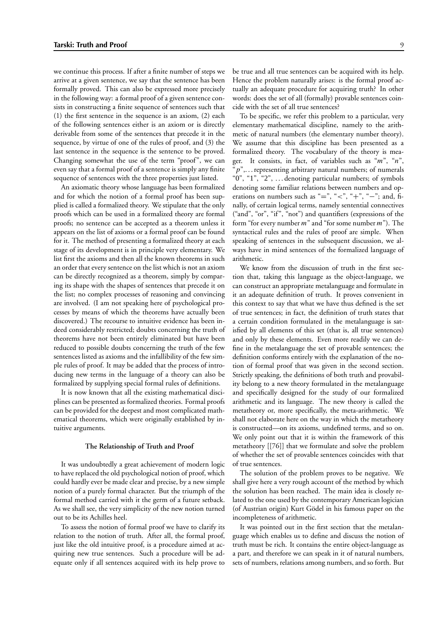we continue this process. If after a finite number of steps we arrive at a given sentence, we say that the sentence has been formally proved. This can also be expressed more precisely in the following way: a formal proof of a given sentence consists in constructing a finite sequence of sentences such that (1) the first sentence in the sequence is an axiom, (2) each of the following sentences either is an axiom or is directly derivable from some of the sentences that precede it in the sequence, by virtue of one of the rules of proof, and (3) the last sentence in the sequence is the sentence to be proved. Changing somewhat the use of the term "proof", we can even say that a formal proof of a sentence is simply any finite sequence of sentences with the three properties just listed.

An axiomatic theory whose language has been formalized and for which the notion of a formal proof has been supplied is called a formalized theory. We stipulate that the only proofs which can be used in a formalized theory are formal proofs; no sentence can be accepted as a theorem unless it appears on the list of axioms or a formal proof can be found for it. The method of presenting a formalized theory at each stage of its development is in principle very elementary. We list first the axioms and then all the known theorems in such an order that every sentence on the list which is not an axiom can be directly recognized as a theorem, simply by comparing its shape with the shapes of sentences that precede it on the list; no complex processes of reasoning and convincing are involved. (I am not speaking here of psychological processes by means of which the theorems have actually been discovered.) The recourse to intuitive evidence has been indeed considerably restricted; doubts concerning the truth of theorems have not been entirely eliminated but have been reduced to possible doubts concerning the truth of the few sentences listed as axioms and the infallibility of the few simple rules of proof. It may be added that the process of introducing new terms in the language of a theory can also be formalized by supplying special formal rules of definitions.

It is now known that all the existing mathematical disciplines can be presented as formalized theories. Formal proofs can be provided for the deepest and most complicated mathematical theorems, which were originally established by intuitive arguments.

#### **The Relationship of Truth and Proof**

It was undoubtedly a great achievement of modern logic to have replaced the old psychological notion of proof, which could hardly ever be made clear and precise, by a new simple notion of a purely formal character. But the triumph of the formal method carried with it the germ of a future setback. As we shall see, the very simplicity of the new notion turned out to be its Achilles heel.

To assess the notion of formal proof we have to clarify its relation to the notion of truth. After all, the formal proof, just like the old intuitive proof, is a procedure aimed at acquiring new true sentences. Such a procedure will be adequate only if all sentences acquired with its help prove to

be true and all true sentences can be acquired with its help. Hence the problem naturally arises: is the formal proof actually an adequate procedure for acquiring truth? In other words: does the set of all (formally) provable sentences coincide with the set of all true sentences?

To be specific, we refer this problem to a particular, very elementary mathematical discipline, namely to the arithmetic of natural numbers (the elementary number theory). We assume that this discipline has been presented as a formalized theory. The vocabulary of the theory is meager. It consists, in fact, of variables such as "m", "n",  $[p$ ",... representing arbitrary natural numbers; of numerals "0", "1", "2", . . . denoting particular numbers; of symbols denoting some familiar relations between numbers and operations on numbers such as "=", "<", "+", "-"; and, finally, of certain logical terms, namely sentential connectives ("and", "or", "if", "not") and quantifiers (expressions of the form "for every number  $m$ " and "for some number  $m$ "). The syntactical rules and the rules of proof are simple. When speaking of sentences in the subsequent discussion, we always have in mind sentences of the formalized language of arithmetic.

We know from the discussion of truth in the first section that, taking this language as the object-language, we can construct an appropriate metalanguage and formulate in it an adequate definition of truth. It proves convenient in this context to say that what we have thus defined is the set of true sentences; in fact, the definition of truth states that a certain condition formulated in the metalanguage is satisfied by all elements of this set (that is, all true sentences) and only by these elements. Even more readily we can define in the metalanguage the set of provable sentences; the definition conforms entirely with the explanation of the notion of formal proof that was given in the second section. Strictly speaking, the definitions of both truth and provability belong to a new theory formulated in the metalanguage and specifically designed for the study of our formalized arithmetic and its language. The new theory is called the metatheory or, more specifically, the meta-arithmetic. We shall not elaborate here on the way in which the metatheory is constructed—on its axioms, undefined terms, and so on. We only point out that it is within the framework of this metatheory [[76]] that we formulate and solve the problem of whether the set of provable sentences coincides with that of true sentences.

The solution of the problem proves to be negative. We shall give here a very rough account of the method by which the solution has been reached. The main idea is closely related to the one used by the contemporary American logician (of Austrian origin) Kurt Gödel in his famous paper on the incompleteness of arithmetic.

It was pointed out in the first section that the metalanguage which enables us to define and discuss the notion of truth must be rich. It contains the entire object-language as a part, and therefore we can speak in it of natural numbers, sets of numbers, relations among numbers, and so forth. But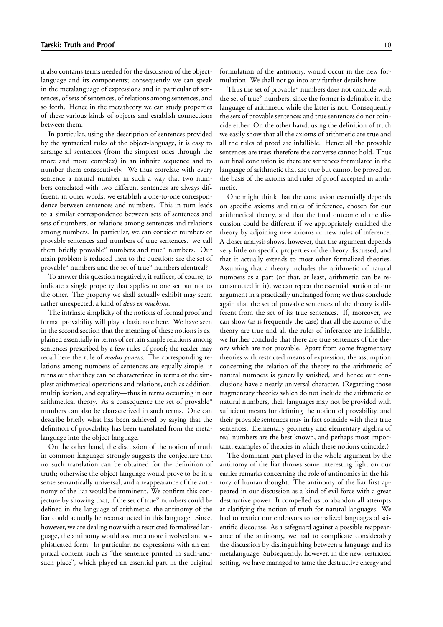it also contains terms needed for the discussion of the objectlanguage and its components; consequently we can speak in the metalanguage of expressions and in particular of sentences, of sets of sentences, of relations among sentences, and so forth. Hence in the metatheory we can study properties of these various kinds of objects and establish connections between them.

In particular, using the description of sentences provided by the syntactical rules of the object-language, it is easy to arrange all sentences (from the simplest ones through the more and more complex) in an infinite sequence and to number them consecutively. We thus correlate with every sentence a natural number in such a way that two numbers correlated with two different sentences are always different; in other words, we establish a one-to-one correspondence between sentences and numbers. This in turn leads to a similar correspondence between sets of sentences and sets of numbers, or relations among sentences and relations among numbers. In particular, we can consider numbers of provable sentences and numbers of true sentences. we call them briefly provable◦ numbers and true◦ numbers. Our main problem is reduced then to the question: are the set of provable◦ numbers and the set of true◦ numbers identical?

To answer this question negatively, it suffices, of course, to indicate a single property that applies to one set but not to the other. The property we shall actually exhibit may seem rather unexpected, a kind of *deus ex machina*.

The intrinsic simplicity of the notions of formal proof and formal provability will play a basic role here. We have seen in the second section that the meaning of these notions is explained essentially in terms of certain simple relations among sentences prescribed by a few rules of proof; the reader may recall here the rule of *modus ponens*. The corresponding relations among numbers of sentences are equally simple; it turns out that they can be characterized in terms of the simplest arithmetical operations and relations, such as addition, multiplication, and equality—thus in terms occurring in our arithmetical theory. As a consequence the set of provable° numbers can also be characterized in such terms. One can describe briefly what has been achieved by saying that the definition of provability has been translated from the metalanguage into the object-language.

On the other hand, the discussion of the notion of truth in common languages strongly suggests the conjecture that no such translation can be obtained for the definition of truth; otherwise the object-language would prove to be in a sense semantically universal, and a reappearance of the antinomy of the liar would be imminent. We confirm this conjecture by showing that, if the set of true° numbers could be defined in the language of arithmetic, the antinomy of the liar could actually be reconstructed in this language. Since, however, we are dealing now with a restricted formalized language, the antinomy would assume a more involved and sophisticated form. In particular, no expressions with an empirical content such as "the sentence printed in such-andsuch place", which played an essential part in the original

formulation of the antinomy, would occur in the new formulation. We shall not go into any further details here.

Thus the set of provable◦ numbers does not coincide with the set of true◦ numbers, since the former is definable in the language of arithmetic while the latter is not. Consequently the sets of provable sentences and true sentences do not coincide either. On the other hand, using the definition of truth we easily show that all the axioms of arithmetic are true and all the rules of proof are infallible. Hence all the provable sentences are true; therefore the converse cannot hold. Thus our final conclusion is: there are sentences formulated in the language of arithmetic that are true but cannot be proved on the basis of the axioms and rules of proof accepted in arithmetic.

One might think that the conclusion essentially depends on specific axioms and rules of inference, chosen for our arithmetical theory, and that the final outcome of the discussion could be different if we appropriately enriched the theory by adjoining new axioms or new rules of inference. A closer analysis shows, however, that the argument depends very little on specific properties of the theory discussed, and that it actually extends to most other formalized theories. Assuming that a theory includes the arithmetic of natural numbers as a part (or that, at least, arithmetic can be reconstructed in it), we can repeat the essential portion of our argument in a practically unchanged form; we thus conclude again that the set of provable sentences of the theory is different from the set of its true sentences. If, moreover, we can show (as is frequently the case) that all the axioms of the theory are true and all the rules of inference are infallible, we further conclude that there are true sentences of the theory which are not provable. Apart from some fragmentary theories with restricted means of expression, the assumption concerning the relation of the theory to the arithmetic of natural numbers is generally satisfied, and hence our conclusions have a nearly universal character. (Regarding those fragmentary theories which do not include the arithmetic of natural numbers, their languages may not be provided with sufficient means for defining the notion of provability, and their provable sentences may in fact coincide with their true sentences. Elementary geometry and elementary algebra of real numbers are the best known, and perhaps most important, examples of theories in which these notions coincide.)

The dominant part played in the whole argument by the antinomy of the liar throws some interesting light on our earlier remarks concerning the role of antinomics in the history of human thought. The antinomy of the liar first appeared in our discussion as a kind of evil force with a great destructive power. It compelled us to abandon all attempts at clarifying the notion of truth for natural languages. We had to restrict our endeavors to formalized languages of scientific discourse. As a safeguard against a possible reappearance of the antinomy, we had to complicate considerably the discussion by distinguishing between a language and its metalanguage. Subsequently, however, in the new, restricted setting, we have managed to tame the destructive energy and